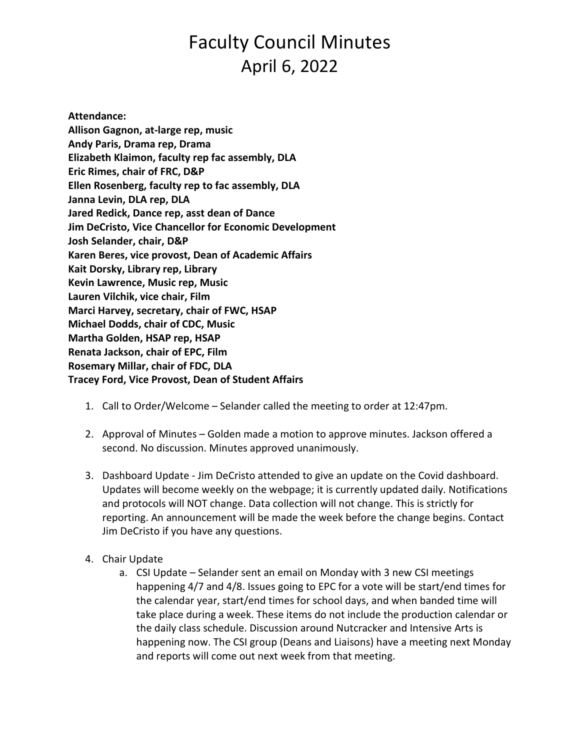# Faculty Council Minutes April 6, 2022

**Attendance: Allison Gagnon, at-large rep, music Andy Paris, Drama rep, Drama Elizabeth Klaimon, faculty rep fac assembly, DLA Eric Rimes, chair of FRC, D&P Ellen Rosenberg, faculty rep to fac assembly, DLA Janna Levin, DLA rep, DLA Jared Redick, Dance rep, asst dean of Dance Jim DeCristo, Vice Chancellor for Economic Development Josh Selander, chair, D&P Karen Beres, vice provost, Dean of Academic Affairs Kait Dorsky, Library rep, Library Kevin Lawrence, Music rep, Music Lauren Vilchik, vice chair, Film Marci Harvey, secretary, chair of FWC, HSAP Michael Dodds, chair of CDC, Music Martha Golden, HSAP rep, HSAP Renata Jackson, chair of EPC, Film Rosemary Millar, chair of FDC, DLA Tracey Ford, Vice Provost, Dean of Student Affairs**

- 1. Call to Order/Welcome Selander called the meeting to order at 12:47pm.
- 2. Approval of Minutes Golden made a motion to approve minutes. Jackson offered a second. No discussion. Minutes approved unanimously.
- 3. Dashboard Update Jim DeCristo attended to give an update on the Covid dashboard. Updates will become weekly on the webpage; it is currently updated daily. Notifications and protocols will NOT change. Data collection will not change. This is strictly for reporting. An announcement will be made the week before the change begins. Contact Jim DeCristo if you have any questions.
- 4. Chair Update
	- a. CSI Update Selander sent an email on Monday with 3 new CSI meetings happening 4/7 and 4/8. Issues going to EPC for a vote will be start/end times for the calendar year, start/end times for school days, and when banded time will take place during a week. These items do not include the production calendar or the daily class schedule. Discussion around Nutcracker and Intensive Arts is happening now. The CSI group (Deans and Liaisons) have a meeting next Monday and reports will come out next week from that meeting.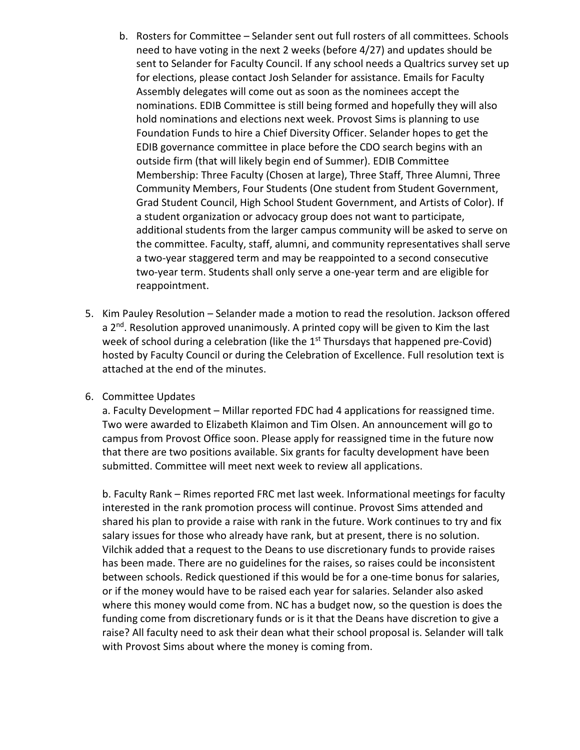- b. Rosters for Committee Selander sent out full rosters of all committees. Schools need to have voting in the next 2 weeks (before 4/27) and updates should be sent to Selander for Faculty Council. If any school needs a Qualtrics survey set up for elections, please contact Josh Selander for assistance. Emails for Faculty Assembly delegates will come out as soon as the nominees accept the nominations. EDIB Committee is still being formed and hopefully they will also hold nominations and elections next week. Provost Sims is planning to use Foundation Funds to hire a Chief Diversity Officer. Selander hopes to get the EDIB governance committee in place before the CDO search begins with an outside firm (that will likely begin end of Summer). EDIB Committee Membership: Three Faculty (Chosen at large), Three Staff, Three Alumni, Three Community Members, Four Students (One student from Student Government, Grad Student Council, High School Student Government, and Artists of Color). If a student organization or advocacy group does not want to participate, additional students from the larger campus community will be asked to serve on the committee. Faculty, staff, alumni, and community representatives shall serve a two-year staggered term and may be reappointed to a second consecutive two-year term. Students shall only serve a one-year term and are eligible for reappointment.
- 5. Kim Pauley Resolution Selander made a motion to read the resolution. Jackson offered a 2<sup>nd</sup>. Resolution approved unanimously. A printed copy will be given to Kim the last week of school during a celebration (like the  $1<sup>st</sup>$  Thursdays that happened pre-Covid) hosted by Faculty Council or during the Celebration of Excellence. Full resolution text is attached at the end of the minutes.

## 6. Committee Updates

a. Faculty Development – Millar reported FDC had 4 applications for reassigned time. Two were awarded to Elizabeth Klaimon and Tim Olsen. An announcement will go to campus from Provost Office soon. Please apply for reassigned time in the future now that there are two positions available. Six grants for faculty development have been submitted. Committee will meet next week to review all applications.

b. Faculty Rank – Rimes reported FRC met last week. Informational meetings for faculty interested in the rank promotion process will continue. Provost Sims attended and shared his plan to provide a raise with rank in the future. Work continues to try and fix salary issues for those who already have rank, but at present, there is no solution. Vilchik added that a request to the Deans to use discretionary funds to provide raises has been made. There are no guidelines for the raises, so raises could be inconsistent between schools. Redick questioned if this would be for a one-time bonus for salaries, or if the money would have to be raised each year for salaries. Selander also asked where this money would come from. NC has a budget now, so the question is does the funding come from discretionary funds or is it that the Deans have discretion to give a raise? All faculty need to ask their dean what their school proposal is. Selander will talk with Provost Sims about where the money is coming from.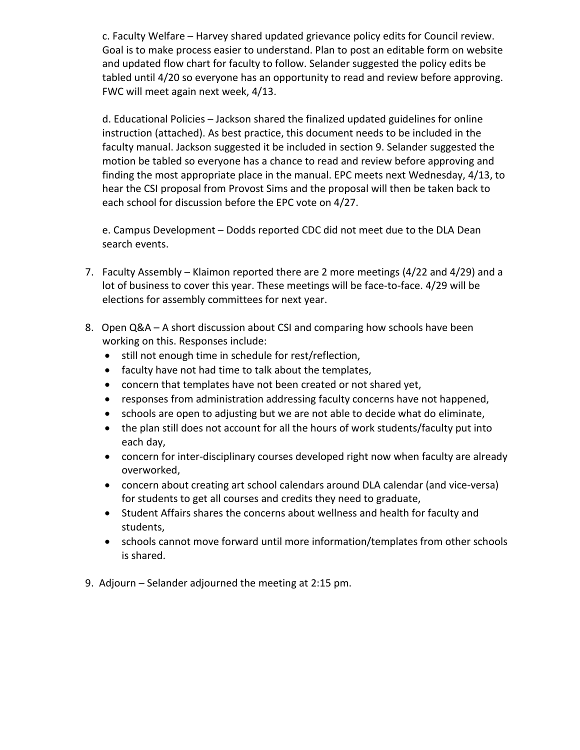c. Faculty Welfare – Harvey shared updated grievance policy edits for Council review. Goal is to make process easier to understand. Plan to post an editable form on website and updated flow chart for faculty to follow. Selander suggested the policy edits be tabled until 4/20 so everyone has an opportunity to read and review before approving. FWC will meet again next week, 4/13.

d. Educational Policies – Jackson shared the finalized updated guidelines for online instruction (attached). As best practice, this document needs to be included in the faculty manual. Jackson suggested it be included in section 9. Selander suggested the motion be tabled so everyone has a chance to read and review before approving and finding the most appropriate place in the manual. EPC meets next Wednesday, 4/13, to hear the CSI proposal from Provost Sims and the proposal will then be taken back to each school for discussion before the EPC vote on 4/27.

e. Campus Development – Dodds reported CDC did not meet due to the DLA Dean search events.

- 7. Faculty Assembly Klaimon reported there are 2 more meetings (4/22 and 4/29) and a lot of business to cover this year. These meetings will be face-to-face. 4/29 will be elections for assembly committees for next year.
- 8. Open Q&A A short discussion about CSI and comparing how schools have been working on this. Responses include:
	- still not enough time in schedule for rest/reflection,
	- faculty have not had time to talk about the templates,
	- concern that templates have not been created or not shared yet,
	- responses from administration addressing faculty concerns have not happened,
	- schools are open to adjusting but we are not able to decide what do eliminate,
	- the plan still does not account for all the hours of work students/faculty put into each day,
	- concern for inter-disciplinary courses developed right now when faculty are already overworked,
	- concern about creating art school calendars around DLA calendar (and vice-versa) for students to get all courses and credits they need to graduate,
	- Student Affairs shares the concerns about wellness and health for faculty and students,
	- schools cannot move forward until more information/templates from other schools is shared.
- 9. Adjourn Selander adjourned the meeting at 2:15 pm.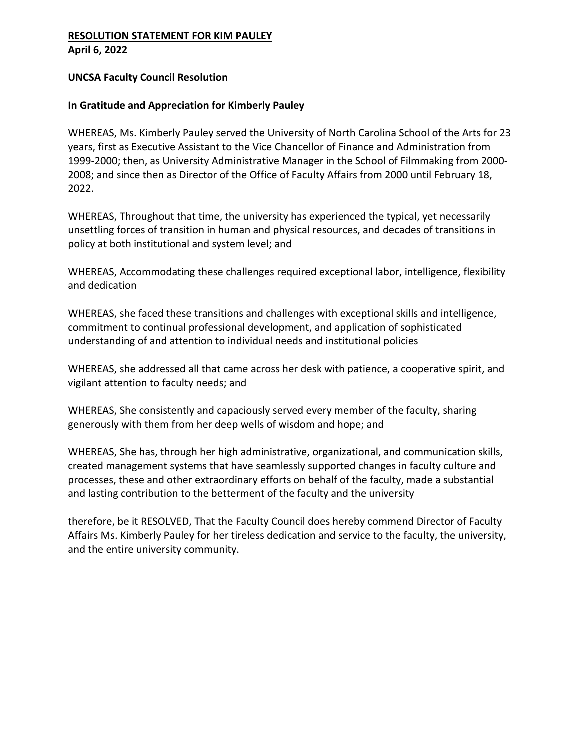## **RESOLUTION STATEMENT FOR KIM PAULEY April 6, 2022**

## **UNCSA Faculty Council Resolution**

# **In Gratitude and Appreciation for Kimberly Pauley**

WHEREAS, Ms. Kimberly Pauley served the University of North Carolina School of the Arts for 23 years, first as Executive Assistant to the Vice Chancellor of Finance and Administration from 1999-2000; then, as University Administrative Manager in the School of Filmmaking from 2000- 2008; and since then as Director of the Office of Faculty Affairs from 2000 until February 18, 2022.

WHEREAS, Throughout that time, the university has experienced the typical, yet necessarily unsettling forces of transition in human and physical resources, and decades of transitions in policy at both institutional and system level; and

WHEREAS, Accommodating these challenges required exceptional labor, intelligence, flexibility and dedication

WHEREAS, she faced these transitions and challenges with exceptional skills and intelligence, commitment to continual professional development, and application of sophisticated understanding of and attention to individual needs and institutional policies

WHEREAS, she addressed all that came across her desk with patience, a cooperative spirit, and vigilant attention to faculty needs; and

WHEREAS, She consistently and capaciously served every member of the faculty, sharing generously with them from her deep wells of wisdom and hope; and

WHEREAS, She has, through her high administrative, organizational, and communication skills, created management systems that have seamlessly supported changes in faculty culture and processes, these and other extraordinary efforts on behalf of the faculty, made a substantial and lasting contribution to the betterment of the faculty and the university

therefore, be it RESOLVED, That the Faculty Council does hereby commend Director of Faculty Affairs Ms. Kimberly Pauley for her tireless dedication and service to the faculty, the university, and the entire university community.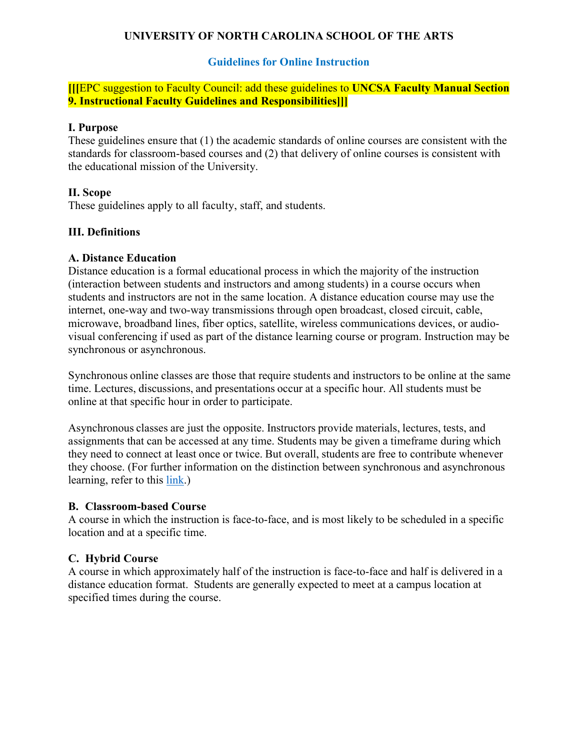# **UNIVERSITY OF NORTH CAROLINA SCHOOL OF THE ARTS**

## **Guidelines for Online Instruction**

**[[[**EPC suggestion to Faculty Council: add these guidelines to **UNCSA Faculty Manual Section 9. Instructional Faculty Guidelines and Responsibilities]]]**

#### **I. Purpose**

These guidelines ensure that (1) the academic standards of online courses are consistent with the standards for classroom-based courses and (2) that delivery of online courses is consistent with the educational mission of the University.

## **II. Scope**

These guidelines apply to all faculty, staff, and students.

## **III. Definitions**

#### **A. Distance Education**

Distance education is a formal educational process in which the majority of the instruction (interaction between students and instructors and among students) in a course occurs when students and instructors are not in the same location. A distance education course may use the internet, one-way and two-way transmissions through open broadcast, closed circuit, cable, microwave, broadband lines, fiber optics, satellite, wireless communications devices, or audiovisual conferencing if used as part of the distance learning course or program. Instruction may be synchronous or asynchronous.

Synchronous online classes are those that require students and instructors to be online at the same time. Lectures, discussions, and presentations occur at a specific hour. All students must be online at that specific hour in order to participate.

Asynchronous classes are just the opposite. Instructors provide materials, lectures, tests, and assignments that can be accessed at any time. Students may be given a timeframe during which they need to connect at least once or twice. But overall, students are free to contribute whenever they choose. (For further information on the distinction between synchronous and asynchronous learning, refer to this [link.](https://www.elearners.com/education-resources/degrees-and-programs/synchronous-vs-asynchronous-classes/#ixzz2v7TMajl4))

#### **B. Classroom-based Course**

A course in which the instruction is face-to-face, and is most likely to be scheduled in a specific location and at a specific time.

## **C. Hybrid Course**

A course in which approximately half of the instruction is face-to-face and half is delivered in a distance education format. Students are generally expected to meet at a campus location at specified times during the course.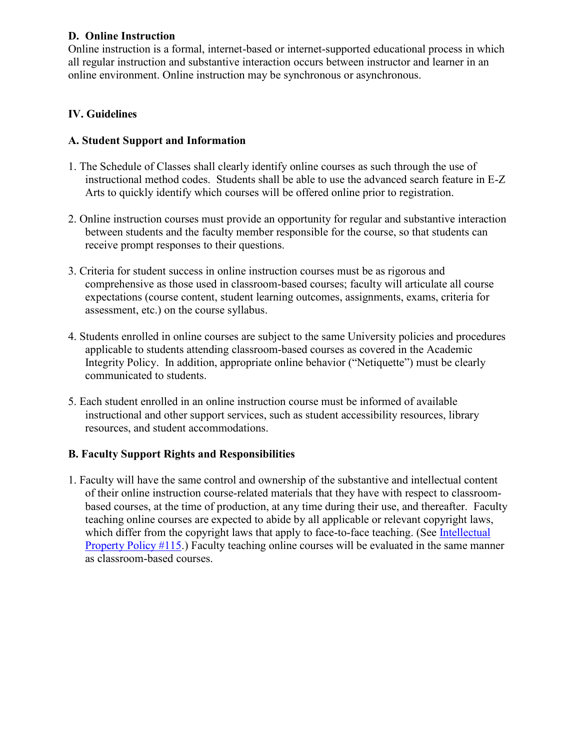# **D. Online Instruction**

Online instruction is a formal, internet-based or internet-supported educational process in which all regular instruction and substantive interaction occurs between instructor and learner in an online environment. Online instruction may be synchronous or asynchronous.

# **IV. Guidelines**

# **A. Student Support and Information**

- 1. The Schedule of Classes shall clearly identify online courses as such through the use of instructional method codes. Students shall be able to use the advanced search feature in E-Z Arts to quickly identify which courses will be offered online prior to registration.
- 2. Online instruction courses must provide an opportunity for regular and substantive interaction between students and the faculty member responsible for the course, so that students can receive prompt responses to their questions.
- 3. Criteria for student success in online instruction courses must be as rigorous and comprehensive as those used in classroom-based courses; faculty will articulate all course expectations (course content, student learning outcomes, assignments, exams, criteria for assessment, etc.) on the course syllabus.
- 4. Students enrolled in online courses are subject to the same University policies and procedures applicable to students attending classroom-based courses as covered in the Academic Integrity Policy. In addition, appropriate online behavior ("Netiquette") must be clearly communicated to students.
- 5. Each student enrolled in an online instruction course must be informed of available instructional and other support services, such as student accessibility resources, library resources, and student accommodations.

# **B. Faculty Support Rights and Responsibilities**

1. Faculty will have the same control and ownership of the substantive and intellectual content of their online instruction course-related materials that they have with respect to classroombased courses, at the time of production, at any time during their use, and thereafter. Faculty teaching online courses are expected to abide by all applicable or relevant copyright laws, which differ from the copyright laws that apply to face-to-face teaching. (See Intellectual [Property Policy #115.](https://www.uncsa.edu/mysa/policy-manual/100-administration-and-operations/115-intellectual-property.aspx)) Faculty teaching online courses will be evaluated in the same manner as classroom-based courses.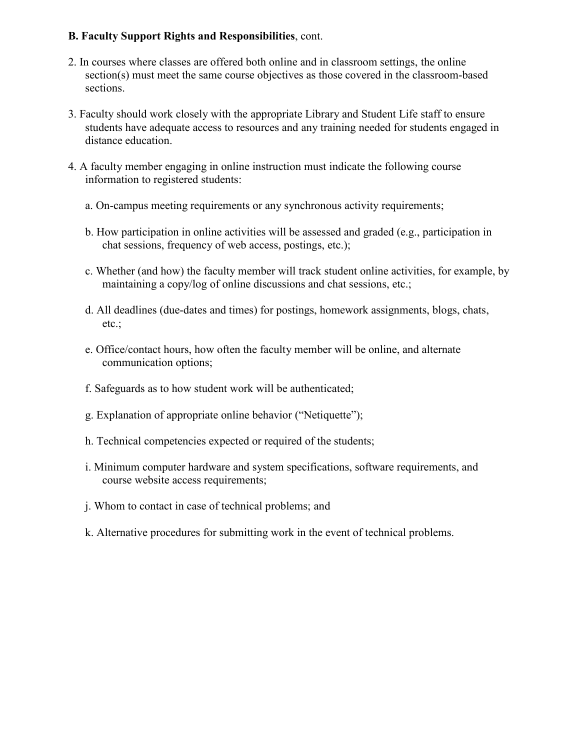# **B. Faculty Support Rights and Responsibilities**, cont.

- 2. In courses where classes are offered both online and in classroom settings, the online section(s) must meet the same course objectives as those covered in the classroom-based sections.
- 3. Faculty should work closely with the appropriate Library and Student Life staff to ensure students have adequate access to resources and any training needed for students engaged in distance education.
- 4. A faculty member engaging in online instruction must indicate the following course information to registered students:
	- a. On-campus meeting requirements or any synchronous activity requirements;
	- b. How participation in online activities will be assessed and graded (e.g., participation in chat sessions, frequency of web access, postings, etc.);
	- c. Whether (and how) the faculty member will track student online activities, for example, by maintaining a copy/log of online discussions and chat sessions, etc.;
	- d. All deadlines (due-dates and times) for postings, homework assignments, blogs, chats, etc.;
	- e. Office/contact hours, how often the faculty member will be online, and alternate communication options;
	- f. Safeguards as to how student work will be authenticated;
	- g. Explanation of appropriate online behavior ("Netiquette");
	- h. Technical competencies expected or required of the students;
	- i. Minimum computer hardware and system specifications, software requirements, and course website access requirements;
	- j. Whom to contact in case of technical problems; and
	- k. Alternative procedures for submitting work in the event of technical problems.